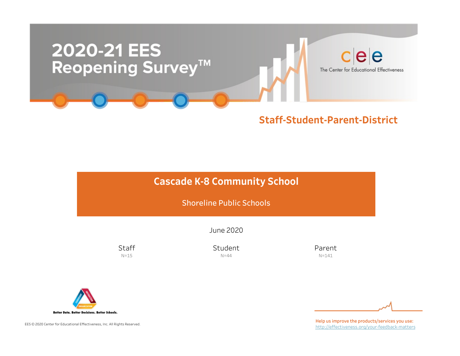

# **Cascade K-8 Community School**

Shoreline Public Schools

June2020

**Staff**  $N=15$ 

Student  $N=44$ 

Parent N=141



EES © 2020 Center for Educational Effectiveness, Inc. All Rights Reserved.

Help us improve the products/services you use: http://effectiveness.org/your-feedback-matters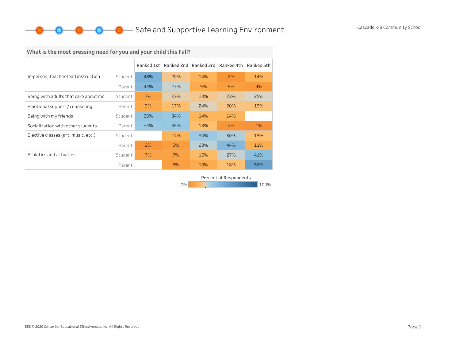# What is the most pressing need for you and your child this Fall?

|                                      |         | Ranked 1st |     | Ranked 2nd Ranked 3rd | Ranked 4th | Ranked 5th |
|--------------------------------------|---------|------------|-----|-----------------------|------------|------------|
| In-person, teacher-lead instruction  | Student | 48%        | 20% | 14%                   | 2%         | 14%        |
|                                      | Parent  | 44%        | 27% | 9%                    | 5%         | 4%         |
| Being with adults that care about me | Student | 7%         | 23% | 20%                   | 23%        | 25%        |
| Emotional support / counseling       | Parent  | 9%         | 17% | 24%                   | 20%        | 19%        |
| Being with my friends                | Student | 36%        | 34% | 14%                   | 14%        |            |
| Socialization with other students    | Parent  | 34%        | 35% | 18%                   | 2%         | 1%         |
| Elective classes (art, music, etc.)  | Student |            | 14% | 34%                   | 30%        | 18%        |
|                                      | Parent  | 2%         | 5%  | 28%                   | 44%        | 11%        |
| Athletics and activities             | Student | 7%         | 7%  | 16%                   | 27%        | 41%        |
|                                      | Parent  |            | 6%  | 10%                   | 18%        | 56%        |

Percent of Respondents

0% 100% 100% 100% 100%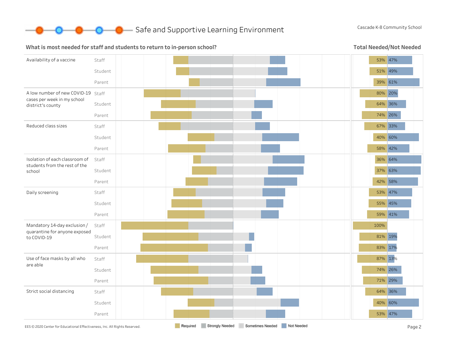

#### What is most needed for staff and students to return to in-person school?

Total Needed/Not Needed

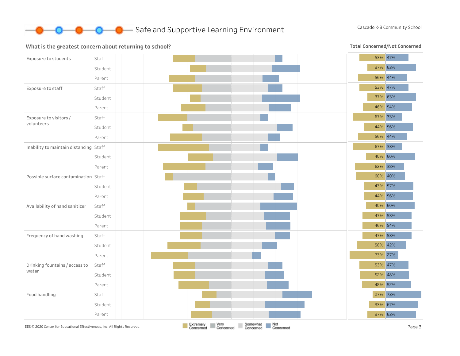

#### What is the greatest concern about returning to school?

Total Concerned/Not Concerned

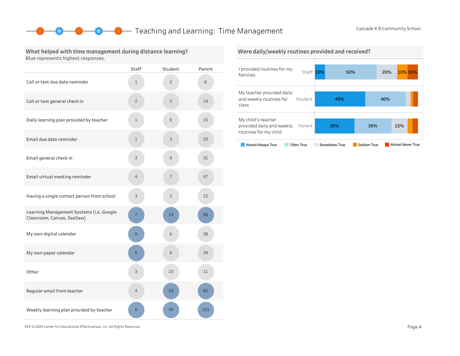## **O** Teaching and Learning: Time Management Cascade K-8 Community School

#### What helped with time management during distance learning? Blue represents highest responses.

|                                                                        | <b>Staff</b>   | Student        | Parent |
|------------------------------------------------------------------------|----------------|----------------|--------|
| Call or text due date reminder                                         | $\mathbf 1$    | $\overline{c}$ | 8      |
| Call or text general check in                                          | $\overline{c}$ | $\overline{c}$ | 14     |
| Daily learning plan provided by teacher                                | $\mathbf 1$    | 6              | 15     |
| Email due date reminder                                                | $\mathbf 1$    | 3              | 20     |
| Email general check in                                                 | 3              | 8              | 31     |
| Email virtual meeting reminder                                         | 4              | 7              | 47     |
| Having a single contact person from school                             | 3              | $\overline{c}$ | 15     |
| Learning Management Systems (i.e. Google<br>Classroom, Canvas, SeeSaw) | 7              | 19             | 68     |
| My own digital calendar                                                | 9              | 6              | 38     |
| My own paper calendar                                                  | 6              | 6              | 34     |
| Other                                                                  | 3              | 10             | 11     |
| Regular email from teacher                                             | 4              | 18             | 82     |
| Weekly learning plan provided by teacher                               | 6              | 30             | 101    |



EES©2020CenterforEducationalEffectiveness,Inc.AllRightsReserved. Page4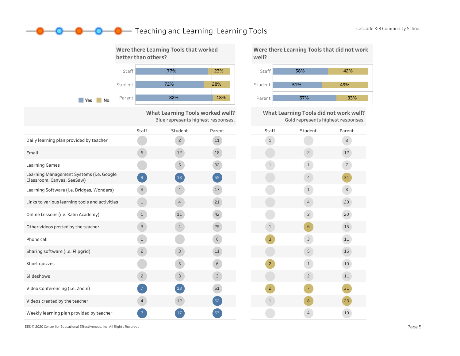# **O** Teaching and Learning: Learning Tools Cascade K-8 Community School



What Learning Tools worked well? Blue represents highest responses.

|                                                                        | <b>Staff</b>   | Student        | Parent | Staft          |
|------------------------------------------------------------------------|----------------|----------------|--------|----------------|
| Daily learning plan provided by teacher                                |                | $\overline{c}$ | 11     | $\mathbf{1}$   |
| Email                                                                  | 5              | 12             | 18     |                |
| <b>Learning Games</b>                                                  |                | 5              | 32     | $\mathbf{1}$   |
| Learning Management Systems (i.e. Google<br>Classroom, Canvas, SeeSaw) | 9              | <sup>13</sup>  | 55     |                |
| Learning Software (i.e. Bridges, Wonders)                              | $\mathsf{3}$   | $\overline{4}$ | 17     |                |
| Links to various learning tools and activities                         | $\mathbf{1}$   | $\overline{4}$ | 21     |                |
| Online Lessons (i.e. Kahn Academy)                                     | $\mathbf{1}$   | 11             | 42     |                |
| Other videos posted by the teacher                                     | $\mathsf{3}$   | $\overline{4}$ | 25     | $\mathbf{1}$   |
| Phone call                                                             | $\mathbf{1}$   |                | 6      | $\overline{3}$ |
| Sharing software (i.e. Flipgrid)                                       | $\overline{c}$ | $\mathsf{3}$   | 11     |                |
| Short quizzes                                                          |                | 5              | 6      | $2^{\circ}$    |
| Slideshows                                                             | $\overline{c}$ | 3              | 3      |                |
| Video Conferencing (i.e. Zoom)                                         | $\overline{7}$ | 13             | 51     | $2^{\circ}$    |
| Videos created by the teacher                                          | $\overline{4}$ | 12             | 62     | $\mathbf{1}$   |
| Weekly learning plan provided by teacher                               |                | 17             | 67     |                |

Were there Learning Tools that did not work well?



What Learning Tools did not work well? Gold represents highest responses.

| Staff          | Student        | Parent         |
|----------------|----------------|----------------|
| $\mathbf{1}$   |                | $\,8\,$        |
|                | $\overline{c}$ | 12             |
| $\mathbf 1$    | $\mathbf 1$    | $\overline{7}$ |
|                | $\overline{4}$ | 31             |
|                | $\mathbf 1$    | $\,8\,$        |
|                | $\overline{4}$ | 20             |
|                | $\overline{c}$ | 20             |
| $\mathbf{1}$   | $\sqrt{6}$     | 15             |
| 3              | 3              | $11\,$         |
|                | 5              | 16             |
| $\overline{c}$ | $\mathbf 1$    | 10             |
|                | $\overline{c}$ | $11\,$         |
| $\overline{c}$ | $\overline{7}$ | 31             |
| $\mathbf{1}$   | 8              | 23             |
|                | $\overline{4}$ | 10             |

EES©2020CenterforEducationalEffectiveness,Inc.AllRightsReserved. Page5

D—0-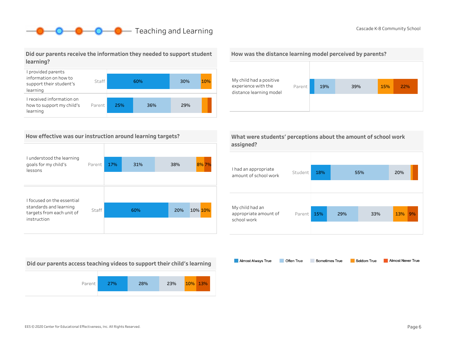# **O** Cascade K-8 Community School Cascade K-8 Community School

#### Did our parents receive the information they needed to support student learning?



#### How effective was our instruction around learning targets?

| I understood the learning<br>goals for my child's<br>lessons | Parent | 17% | 31% | 38% | 8% 7%   |
|--------------------------------------------------------------|--------|-----|-----|-----|---------|
|                                                              |        |     |     |     |         |
| I focused on the essential                                   |        |     |     |     |         |
| standards and learning<br>targets from each unit of          | Staff  |     | 60% | 20% | 10% 10% |
| instruction                                                  |        |     |     |     |         |

My child had a positive

How was the distance learning model perceived by parents?

Parent 19% 39% 15% 22%

experience with the distance learning model

Almost Always True

Often True



| I had an appropriate<br>amount of school work           | Student | 18% |     | 55% | 20% |    |
|---------------------------------------------------------|---------|-----|-----|-----|-----|----|
| My child had an<br>appropriate amount of<br>school work | Parent  | 15% | 29% | 33% | 13% | 9% |

Sometimes True

Seldom True

Did our parents access teaching videos to support their child's learning



Almost Never True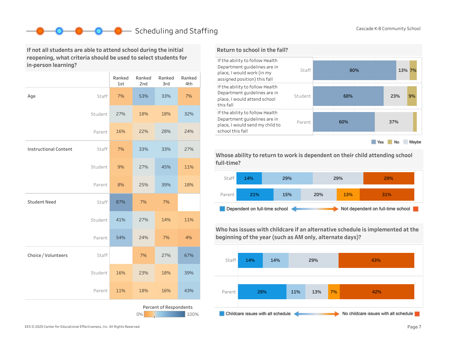# ■ Scheduling and Staffing Cascade K-8 Community School

If not all students are able to attend school during the initial reopening, what criteria should be used to select students for in-person learning?

|                              |         | Ranked<br>1st | Ranked<br>2nd | Ranked<br>3rd          | Ranked<br>4th |
|------------------------------|---------|---------------|---------------|------------------------|---------------|
| Age                          | Staff   | 7%            | 53%           | 33%                    | 7%            |
|                              | Student | 27%           | 18%           | 18%                    | 32%           |
|                              | Parent  | 16%           | 22%           | 28%                    | 24%           |
| <b>Instructional Content</b> | Staff   | 7%            | 33%           | 33%                    | 27%           |
|                              | Student | 9%            | 27%           | 45%                    | 11%           |
|                              | Parent  | 8%            | 25%           | 39%                    | 18%           |
| <b>Student Need</b>          | Staff   | 87%           | 7%            | 7%                     |               |
|                              | Student | 41%           | 27%           | 14%                    | 11%           |
|                              | Parent  | 54%           | 24%           | 7%                     | 4%            |
| Choice / Volunteers          | Staff   |               | 7%            | 27%                    | 67%           |
|                              | Student | 16%           | 23%           | 18%                    | 39%           |
|                              | Parent  | 11%           | 18%           | 16%                    | 43%           |
|                              |         |               | $0\%$         | Percent of Respondents | 100%          |

#### Return to school in the fall?



Whose ability to return to work is dependent on their child attending school full-time?



Who has issues with childcare if an alternative schedule is implemented at the beginning of the year (such as AM only, alternate days)?

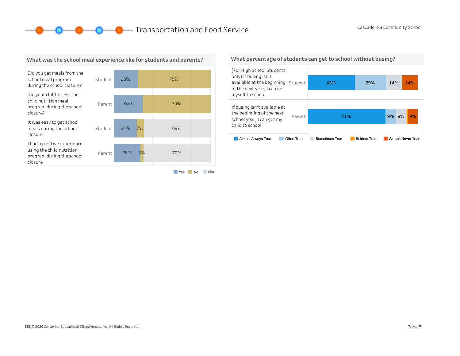**O** Cascade K-8 Community School



What was the school meal experience like for students and parents?

#### What percentage of students can get to school without busing?

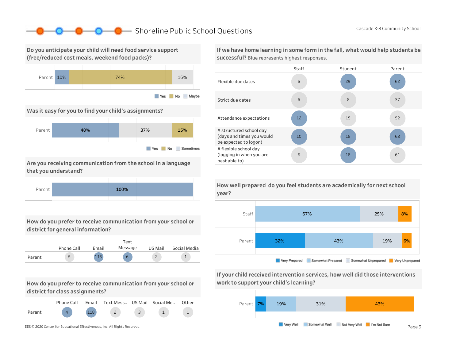## ■ Shoreline Public School Questions Cascade K-8 Community School

Do you anticipate your child will need food service support (free/reduced cost meals, weekend food packs)?



Was it easy for you to find your child's assignments?



Are you receiving communication from the school in a language that you understand?



How do you prefer to receive communication from your school or district for general information?

|        |            |       | Text    |         |              |
|--------|------------|-------|---------|---------|--------------|
|        | Phone Call | Email | Message | US Mail | Social Media |
| Parent | 5          |       | 6       |         |              |

How do you prefer to receive communication from your school or district for class assignments?

|        | Phone Call | Email | Text Mess US Mail Social Me |  | Other |
|--------|------------|-------|-----------------------------|--|-------|
| Parent |            |       |                             |  |       |



If we have home learning in some form in the fall, what would help students be successful? Blue represents highest responses.



How well prepared do you feel students are academically for next school year?



If your child received intervention services, how well did those interventions work to support your child's learning?

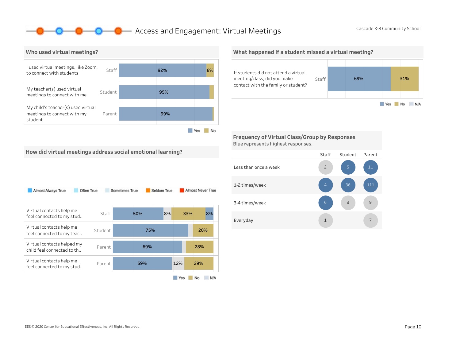### **O** Access and Engagement: Virtual Meetings Cascade K-8 Community School



What happened if a student missed a virtual meeting? If students did not attend a virtual meeting/class, did you make Staff 69% 31% contact with the family or student? Yes No N/A

Frequency of Virtual Class/Group by Responses Blue represents highest responses.

How did virtual meetings address social emotional learning?

| Almost Always True                                       | Often True | Sometimes True | Seldom True |     | Almost Never True |
|----------------------------------------------------------|------------|----------------|-------------|-----|-------------------|
| Virtual contacts help me<br>feel connected to my stud    | Staff      | 50%            | 8%          | 33% | 8%                |
| Virtual contacts help me<br>feel connected to my teac    | Student    | 75%            |             |     | 20%               |
| Virtual contacts helped my<br>child feel connected to th | Parent     | 69%            |             |     | 28%               |
| Virtual contacts help me<br>feel connected to my stud    | Parent     | 59%            |             | 12% | 29%               |
|                                                          |            |                |             | Yes | No<br>N/A         |

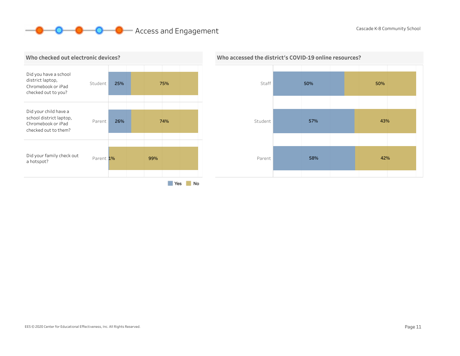# **O O** Access and Engagement Cascade K-8 Community School





# Who accessed the district's COVID-19 online resources?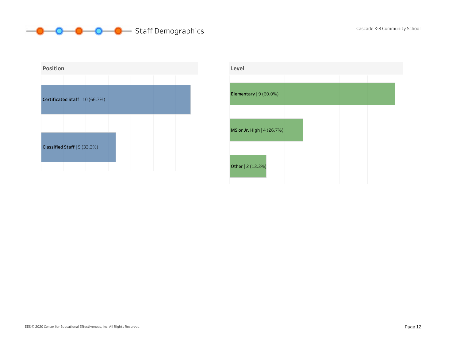# **Staff Demographics** Cascade K-8 Community School Cascade K-8 Community School



| Level                   |                            |  |  |  |
|-------------------------|----------------------------|--|--|--|
|                         |                            |  |  |  |
| Elementary $ 9(60.0\%)$ |                            |  |  |  |
|                         |                            |  |  |  |
|                         | MS or Jr. High   4 (26.7%) |  |  |  |
| Other   2 (13.3%)       |                            |  |  |  |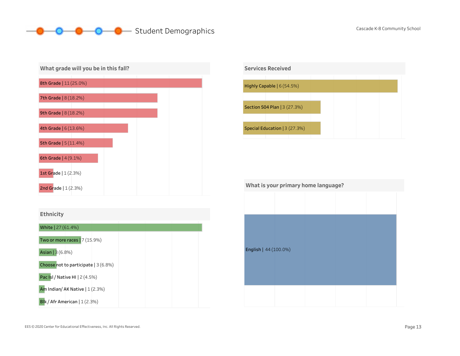#### **O** Student Demographics Cascade K-8 Community School -0-



#### Ethnicity





| What is your primary home language? |  |  |  |  |  |  |  |
|-------------------------------------|--|--|--|--|--|--|--|
|                                     |  |  |  |  |  |  |  |
|                                     |  |  |  |  |  |  |  |
|                                     |  |  |  |  |  |  |  |
| English   44 (100.0%)               |  |  |  |  |  |  |  |
|                                     |  |  |  |  |  |  |  |
|                                     |  |  |  |  |  |  |  |
|                                     |  |  |  |  |  |  |  |
|                                     |  |  |  |  |  |  |  |